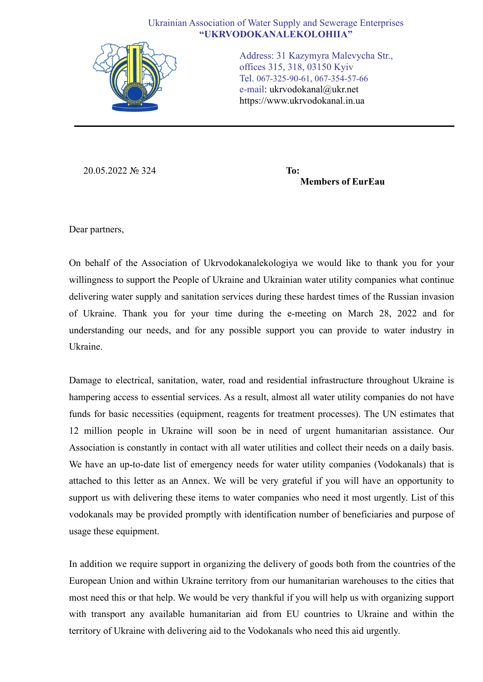## Ukrainian Association of Water Supply and Sewerage Enterprises **"UKRVODOKANALEKOLOHIIA"**



Address: 31 Kazymyra Malevycha Str., offices 315, 318, 03150 Kyiv Tel. 067-325-90-61, 067-354-57-66 e-mail: ukrvodokanal@ukr.net https://www.ukrvodokanal.in.ua

20.05.2022 № 324 **To:**

**Members of EurEau**

Dear partners,

On behalf of the Association of Ukrvodokanalekologiya we would like to thank you for your willingness to support the People of Ukraine and Ukrainian water utility companies what continue delivering water supply and sanitation services during these hardest times of the Russian invasion of Ukraine. Thank you for your time during the e-meeting on March 28, 2022 and for understanding our needs, and for any possible support you can provide to water industry in Ukraine.

Damage to electrical, sanitation, water, road and residential infrastructure throughout Ukraine is hampering access to essential services. As a result, almost all water utility companies do not have funds for basic necessities (equipment, reagents for treatment processes). The UN estimates that 12 million people in Ukraine will soon be in need of urgent humanitarian assistance. Our Association is constantly in contact with all water utilities and collect their needs on a daily basis. We have an up-to-date list of emergency needs for water utility companies (Vodokanals) that is attached to this letter as an Annex. We will be very grateful if you will have an opportunity to support us with delivering these items to water companies who need it most urgently. List of this vodokanals may be provided promptly with identification number of beneficiaries and purpose of usage these equipment.

In addition we require support in organizing the delivery of goods both from the countries of the European Union and within Ukraine territory from our humanitarian warehouses to the cities that most need this or that help. We would be very thankful if you will help us with organizing support with transport any available humanitarian aid from EU countries to Ukraine and within the territory of Ukraine with delivering aid to the Vodokanals who need this aid urgently.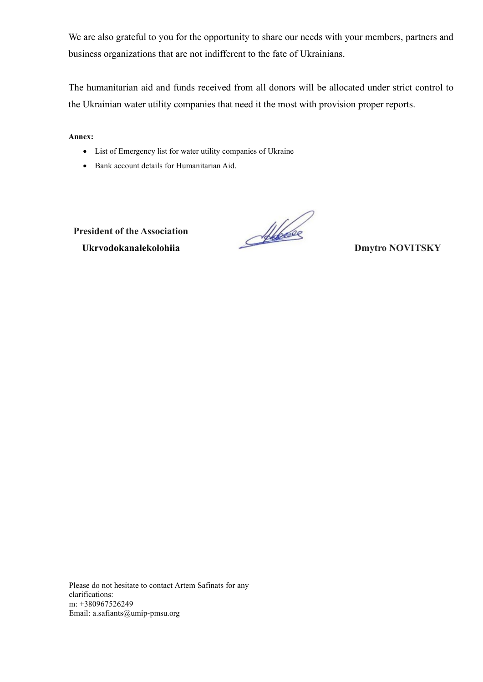We are also grateful to you for the opportunity to share our needs with your members, partners and business organizations that are not indifferent to the fate of Ukrainians.

The humanitarian aid and funds received from all donors will be allocated under strict control to the Ukrainian water utility companies that need it the most with provision proper reports.

**Annex:** 

- List of Emergency list for water utility companies of Ukraine
- Bank account details for Humanitarian Aid.

**President of the Association Ukryodokanalekolohiia**<br> **Ukryodokanalekolohiia**<br>
Dmytro **NOVITSKY** 

Please do not hesitate to contact Artem Safinats for any clarifications: m: +380967526249 Email: a.safiants@umip-pmsu.org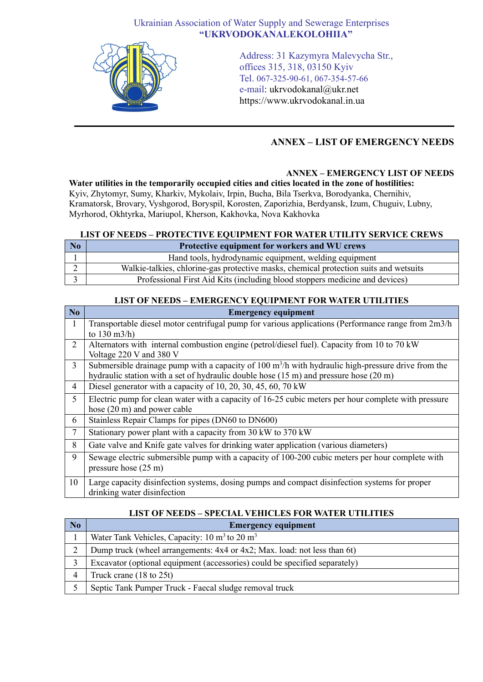# Ukrainian Association of Water Supply and Sewerage Enterprises **"UKRVODOKANALEKOLOHIIA"**



Address: 31 Kazymyra Malevycha Str., offices 315, 318, 03150 Kyiv Tel. 067-325-90-61, 067-354-57-66 e-mail: ukrvodokanal@ukr.net https://www.ukrvodokanal.in.ua

# **ANNEX – LIST OF EMERGENCY NEEDS**

## **ANNEX – EMERGENCY LIST OF NEEDS**

**Water utilities in the temporarily occupied cities and cities located in the zone of hostilities:** Kyiv, Zhytomyr, Sumy, Kharkiv, Mykolaiv, Irpin, Bucha, Bila Tserkva, Borodyanka, Chernihiv, Kramatorsk, Brovary, Vyshgorod, Boryspil, Korosten, Zaporizhia, Berdyansk, Izum, Chuguiv, Lubny, Myrhorod, Okhtyrka, Mariupol, Kherson, Kakhovka, Nova Kakhovka

### **LIST OF NEEDS – PROTECTIVE EQUIPMENT FOR WATER UTILITY SERVICE CREWS**

| N <sub>o</sub> | Protective equipment for workers and WU crews                                         |
|----------------|---------------------------------------------------------------------------------------|
|                | Hand tools, hydrodynamic equipment, welding equipment                                 |
|                | Walkie-talkies, chlorine-gas protective masks, chemical protection suits and wetsuits |
|                | Professional First Aid Kits (including blood stoppers medicine and devices)           |

## **LIST OF NEEDS – EMERGENCY EQUIPMENT FOR WATER UTILITIES**

| No             | <b>Emergency equipment</b>                                                                                          |
|----------------|---------------------------------------------------------------------------------------------------------------------|
| 1              | Transportable diesel motor centrifugal pump for various applications (Performance range from 2m3/h                  |
|                | to $130 \text{ m}^3/h$ )                                                                                            |
| 2              | Alternators with internal combustion engine (petrol/diesel fuel). Capacity from 10 to 70 kW                         |
|                | Voltage 220 V and 380 V                                                                                             |
| $\overline{3}$ | Submersible drainage pump with a capacity of $100 \text{ m}^3/\text{h}$ with hydraulic high-pressure drive from the |
|                | hydraulic station with a set of hydraulic double hose $(15 \text{ m})$ and pressure hose $(20 \text{ m})$           |
| 4              | Diesel generator with a capacity of 10, 20, 30, 45, 60, 70 kW                                                       |
| 5              | Electric pump for clean water with a capacity of 16-25 cubic meters per hour complete with pressure                 |
|                | hose (20 m) and power cable                                                                                         |
| 6              | Stainless Repair Clamps for pipes (DN60 to DN600)                                                                   |
| $\tau$         | Stationary power plant with a capacity from 30 kW to 370 kW                                                         |
| 8              | Gate valve and Knife gate valves for drinking water application (various diameters)                                 |
| 9              | Sewage electric submersible pump with a capacity of 100-200 cubic meters per hour complete with                     |
|                | pressure hose (25 m)                                                                                                |
| 10             | Large capacity disinfection systems, dosing pumps and compact disinfection systems for proper                       |
|                | drinking water disinfection                                                                                         |

# **LIST OF NEEDS – SPECIAL VEHICLES FOR WATER UTILITIES**

| N <sub>0</sub> | <b>Emergency equipment</b>                                                 |
|----------------|----------------------------------------------------------------------------|
|                | Water Tank Vehicles, Capacity: $10 \text{ m}^3$ to $20 \text{ m}^3$        |
| ↑              | Dump truck (wheel arrangements: 4x4 or 4x2; Max. load: not less than 6t)   |
|                | Excavator (optional equipment (accessories) could be specified separately) |
| 4              | Truck crane $(18 \text{ to } 25t)$                                         |
|                | Septic Tank Pumper Truck - Faecal sludge removal truck                     |